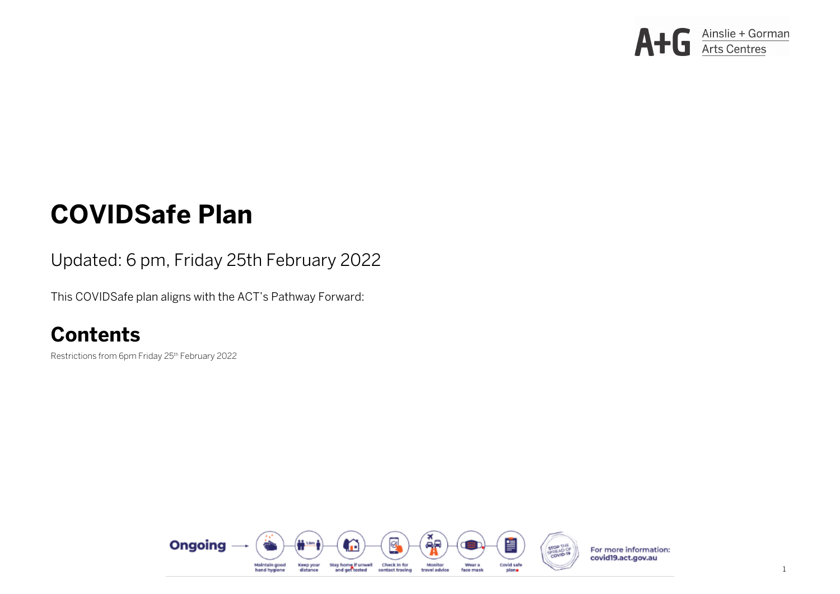# **COVIDSafe Plan**

#### Updated: 6 pm, Friday 25th February 2022

This COVIDSafe plan aligns with the ACT's Pathway Forward:

## **Contents**

Restrictions from 6pm Friday 25<sup>th</sup> February 2022